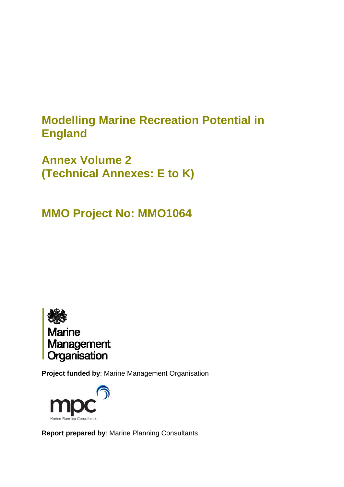# **Modelling Marine Recreation Potential in England**

**Annex Volume 2 (Technical Annexes: E to K)**

**MMO Project No: MMO1064**



**Project funded by**: Marine Management Organisation



**Report prepared by**: Marine Planning Consultants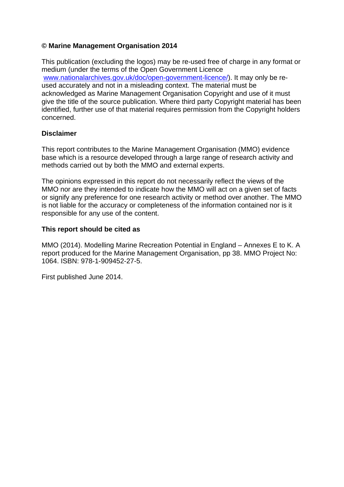# **© Marine Management Organisation 2014**

This publication (excluding the logos) may be re-used free of charge in any format or medium (under the terms of the Open Government Licence [www.nationalarchives.gov.uk/doc/open-government-licence/\)](http://www.nationalarchives.gov.uk/doc/open-government-licence/). It may only be reused accurately and not in a misleading context. The material must be acknowledged as Marine Management Organisation Copyright and use of it must give the title of the source publication. Where third party Copyright material has been identified, further use of that material requires permission from the Copyright holders concerned.

### **Disclaimer**

This report contributes to the Marine Management Organisation (MMO) evidence base which is a resource developed through a large range of research activity and methods carried out by both the MMO and external experts.

The opinions expressed in this report do not necessarily reflect the views of the MMO nor are they intended to indicate how the MMO will act on a given set of facts or signify any preference for one research activity or method over another. The MMO is not liable for the accuracy or completeness of the information contained nor is it responsible for any use of the content.

### **This report should be cited as**

MMO (2014). Modelling Marine Recreation Potential in England – Annexes E to K. A report produced for the Marine Management Organisation, pp 38. MMO Project No: 1064. ISBN: 978-1-909452-27-5.

First published June 2014.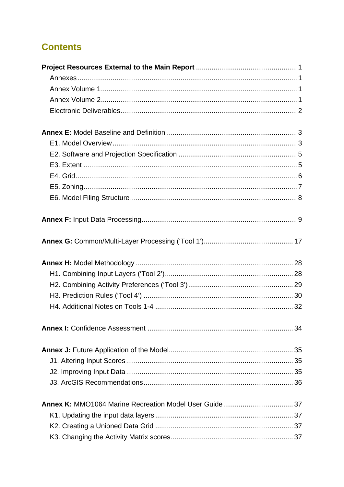# **Contents**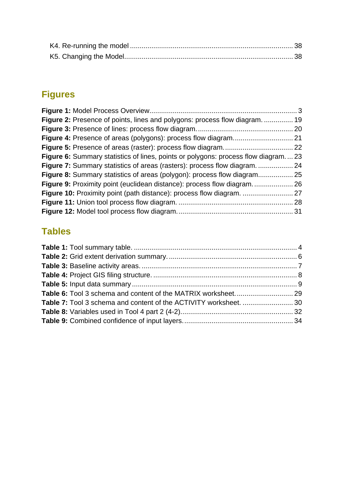# **Figures**

| Figure 2: Presence of points, lines and polygons: process flow diagram.  19               |  |
|-------------------------------------------------------------------------------------------|--|
|                                                                                           |  |
|                                                                                           |  |
|                                                                                           |  |
| <b>Figure 6:</b> Summary statistics of lines, points or polygons: process flow diagram 23 |  |
|                                                                                           |  |
|                                                                                           |  |
|                                                                                           |  |
|                                                                                           |  |
|                                                                                           |  |
|                                                                                           |  |
|                                                                                           |  |

# **Tables**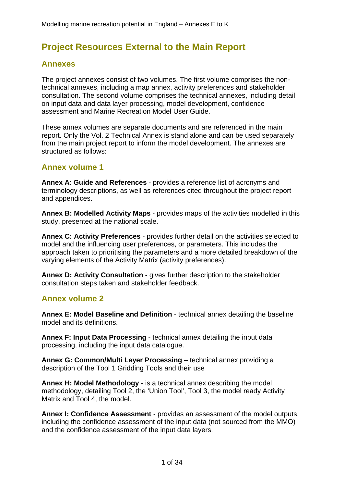# <span id="page-6-0"></span>**Project Resources External to the Main Report**

# **Annexes**

The project annexes consist of two volumes. The first volume comprises the nontechnical annexes, including a map annex, activity preferences and stakeholder consultation. The second volume comprises the technical annexes, including detail on input data and data layer processing, model development, confidence assessment and Marine Recreation Model User Guide.

These annex volumes are separate documents and are referenced in the main report. Only the Vol. 2 Technical Annex is stand alone and can be used separately from the main project report to inform the model development. The annexes are structured as follows:

# **Annex volume 1**

**Annex A**: **Guide and References** - provides a reference list of acronyms and terminology descriptions, as well as references cited throughout the project report and appendices.

**Annex B: Modelled Activity Maps** - provides maps of the activities modelled in this study, presented at the national scale.

**Annex C: Activity Preferences** - provides further detail on the activities selected to model and the influencing user preferences, or parameters. This includes the approach taken to prioritising the parameters and a more detailed breakdown of the varying elements of the Activity Matrix (activity preferences).

**Annex D: Activity Consultation** - gives further description to the stakeholder consultation steps taken and stakeholder feedback.

# **Annex volume 2**

**Annex E: Model Baseline and Definition** - technical annex detailing the baseline model and its definitions.

**Annex F: Input Data Processing** - technical annex detailing the input data processing, including the input data catalogue.

**Annex G: Common/Multi Layer Processing** – technical annex providing a description of the Tool 1 Gridding Tools and their use

**Annex H: Model Methodology** - is a technical annex describing the model methodology, detailing Tool 2, the 'Union Tool', Tool 3, the model ready Activity Matrix and Tool 4, the model.

**Annex I: Confidence Assessment** - provides an assessment of the model outputs, including the confidence assessment of the input data (not sourced from the MMO) and the confidence assessment of the input data layers.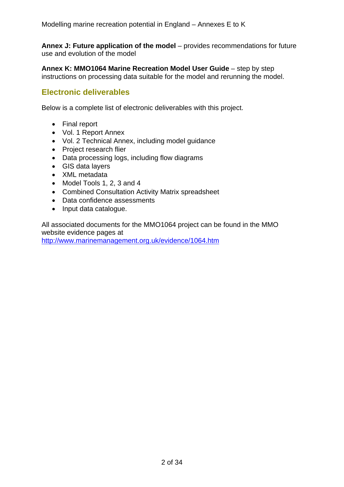<span id="page-7-0"></span>**Annex J: Future application of the model** – provides recommendations for future use and evolution of the model

**Annex K: MMO1064 Marine Recreation Model User Guide** – step by step instructions on processing data suitable for the model and rerunning the model.

# **Electronic deliverables**

Below is a complete list of electronic deliverables with this project.

- Final report
- Vol. 1 Report Annex
- Vol. 2 Technical Annex, including model guidance
- Project research flier
- Data processing logs, including flow diagrams
- GIS data layers
- XML metadata
- Model Tools 1, 2, 3 and 4
- Combined Consultation Activity Matrix spreadsheet
- Data confidence assessments
- Input data catalogue.

All associated documents for the MMO1064 project can be found in the MMO website evidence pages at

<http://www.marinemanagement.org.uk/evidence/1064.htm>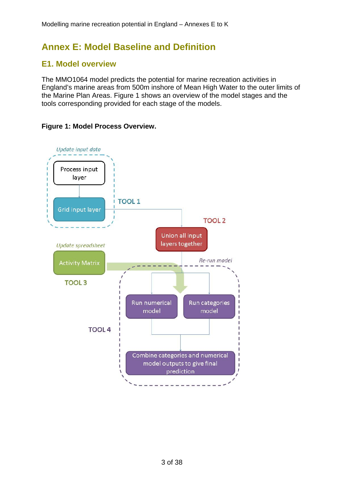# <span id="page-8-0"></span>**Annex E: Model Baseline and Definition**

# **E1. Model overview**

The MMO1064 model predicts the potential for marine recreation activities in England's marine areas from 500m inshore of Mean High Water to the outer limits of the Marine Plan Areas. Figure 1 shows an overview of the model stages and the tools corresponding provided for each stage of the models.



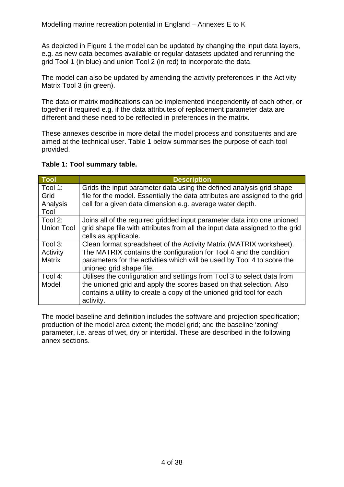<span id="page-9-0"></span>As depicted in Figure 1 the model can be updated by changing the input data layers, e.g. as new data becomes available or regular datasets updated and rerunning the grid Tool 1 (in blue) and union Tool 2 (in red) to incorporate the data.

The model can also be updated by amending the activity preferences in the Activity Matrix Tool 3 (in green).

The data or matrix modifications can be implemented independently of each other, or together if required e.g. if the data attributes of replacement parameter data are different and these need to be reflected in preferences in the matrix.

These annexes describe in more detail the model process and constituents and are aimed at the technical user. Table 1 below summarises the purpose of each tool provided.

### **Table 1: Tool summary table.**

| Tool                                 | <b>Description</b>                                                                                                                                                                                                                               |
|--------------------------------------|--------------------------------------------------------------------------------------------------------------------------------------------------------------------------------------------------------------------------------------------------|
| Tool 1:<br>Grid<br>Analysis<br>Tool  | Grids the input parameter data using the defined analysis grid shape<br>file for the model. Essentially the data attributes are assigned to the grid<br>cell for a given data dimension e.g. average water depth.                                |
| Tool 2:<br><b>Union Tool</b>         | Joins all of the required gridded input parameter data into one unioned<br>grid shape file with attributes from all the input data assigned to the grid<br>cells as applicable.                                                                  |
| Tool 3:<br>Activity<br><b>Matrix</b> | Clean format spreadsheet of the Activity Matrix (MATRIX worksheet).<br>The MATRIX contains the configuration for Tool 4 and the condition<br>parameters for the activities which will be used by Tool 4 to score the<br>unioned grid shape file. |
| Tool 4:<br>Model                     | Utilises the configuration and settings from Tool 3 to select data from<br>the unioned grid and apply the scores based on that selection. Also<br>contains a utility to create a copy of the unioned grid tool for each<br>activity.             |

The model baseline and definition includes the software and projection specification; production of the model area extent; the model grid; and the baseline 'zoning' parameter, i.e. areas of wet, dry or intertidal. These are described in the following annex sections.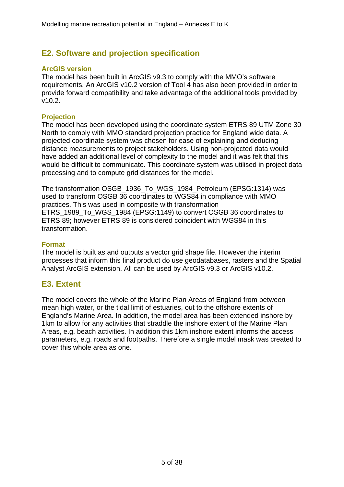# <span id="page-10-0"></span>**E2. Software and projection specification**

### **ArcGIS version**

The model has been built in ArcGIS v9.3 to comply with the MMO's software requirements. An ArcGIS v10.2 version of Tool 4 has also been provided in order to provide forward compatibility and take advantage of the additional tools provided by v10.2.

### **Projection**

The model has been developed using the coordinate system ETRS 89 UTM Zone 30 North to comply with MMO standard projection practice for England wide data. A projected coordinate system was chosen for ease of explaining and deducing distance measurements to project stakeholders. Using non-projected data would have added an additional level of complexity to the model and it was felt that this would be difficult to communicate. This coordinate system was utilised in project data processing and to compute grid distances for the model.

The transformation OSGB\_1936\_To\_WGS\_1984\_Petroleum (EPSG:1314) was used to transform OSGB 36 coordinates to WGS84 in compliance with MMO practices. This was used in composite with transformation ETRS\_1989\_To\_WGS\_1984 (EPSG:1149) to convert OSGB 36 coordinates to ETRS 89; however ETRS 89 is considered coincident with WGS84 in this transformation.

### **Format**

The model is built as and outputs a vector grid shape file. However the interim processes that inform this final product do use geodatabases, rasters and the Spatial Analyst ArcGIS extension. All can be used by ArcGIS v9.3 or ArcGIS v10.2.

# **E3. Extent**

The model covers the whole of the Marine Plan Areas of England from between mean high water, or the tidal limit of estuaries, out to the offshore extents of England's Marine Area. In addition, the model area has been extended inshore by 1km to allow for any activities that straddle the inshore extent of the Marine Plan Areas, e.g. beach activities. In addition this 1km inshore extent informs the access parameters, e.g. roads and footpaths. Therefore a single model mask was created to cover this whole area as one.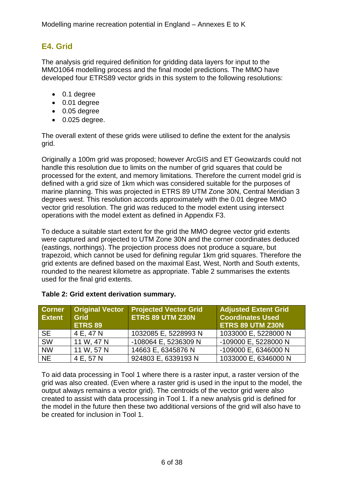# <span id="page-11-0"></span>**E4. Grid**

The analysis grid required definition for gridding data layers for input to the MMO1064 modelling process and the final model predictions. The MMO have developed four ETRS89 vector grids in this system to the following resolutions:

- 0.1 degree
- 0.01 degree
- 0.05 degree
- $\bullet$  0.025 degree.

The overall extent of these grids were utilised to define the extent for the analysis grid.

Originally a 100m grid was proposed; however ArcGIS and ET Geowizards could not handle this resolution due to limits on the number of grid squares that could be processed for the extent, and memory limitations. Therefore the current model grid is defined with a grid size of 1km which was considered suitable for the purposes of marine planning. This was projected in ETRS 89 UTM Zone 30N, Central Meridian 3 degrees west. This resolution accords approximately with the 0.01 degree MMO vector grid resolution. The grid was reduced to the model extent using intersect operations with the model extent as defined in Appendix F3.

To deduce a suitable start extent for the grid the MMO degree vector grid extents were captured and projected to UTM Zone 30N and the corner coordinates deduced (eastings, northings). The projection process does not produce a square, but trapezoid, which cannot be used for defining regular 1km grid squares. Therefore the grid extents are defined based on the maximal East, West, North and South extents, rounded to the nearest kilometre as appropriate. Table 2 summarises the extents used for the final grid extents.

| <b>Corner</b><br><b>Extent</b> | <b>Original Vector</b><br><b>Grid</b><br><b>ETRS 89</b> | <b>Projected Vector Grid</b><br>ETRS 89 UTM Z30N | <b>Adjusted Extent Grid</b><br><b>Coordinates Used</b><br>ETRS 89 UTM Z30N |
|--------------------------------|---------------------------------------------------------|--------------------------------------------------|----------------------------------------------------------------------------|
| <b>SE</b>                      | 4 E, 47 N                                               | 1032085 E, 5228993 N                             | 1033000 E, 5228000 N                                                       |
| SW                             | 11 W, 47 N                                              | -108064 E, 5236309 N                             | -109000 E, 5228000 N                                                       |
| <b>NW</b>                      | 11 W, 57 N                                              | 14663 E, 6345876 N                               | -109000 E, 6346000 N                                                       |
| <b>NE</b>                      | 4 E, 57 N                                               | 924803 E, 6339193 N                              | 1033000 E, 6346000 N                                                       |

# **Table 2: Grid extent derivation summary.**

To aid data processing in Tool 1 where there is a raster input, a raster version of the grid was also created. (Even where a raster grid is used in the input to the model, the output always remains a vector grid). The centroids of the vector grid were also created to assist with data processing in Tool 1. If a new analysis grid is defined for the model in the future then these two additional versions of the grid will also have to be created for inclusion in Tool 1.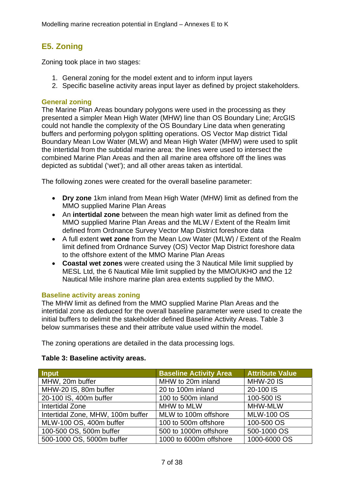# <span id="page-12-0"></span>**E5. Zoning**

Zoning took place in two stages:

- 1. General zoning for the model extent and to inform input layers
- 2. Specific baseline activity areas input layer as defined by project stakeholders.

## **General zoning**

The Marine Plan Areas boundary polygons were used in the processing as they presented a simpler Mean High Water (MHW) line than OS Boundary Line; ArcGIS could not handle the complexity of the OS Boundary Line data when generating buffers and performing polygon splitting operations. OS Vector Map district Tidal Boundary Mean Low Water (MLW) and Mean High Water (MHW) were used to split the intertidal from the subtidal marine area: the lines were used to intersect the combined Marine Plan Areas and then all marine area offshore off the lines was depicted as subtidal ('wet'); and all other areas taken as intertidal.

The following zones were created for the overall baseline parameter:

- **Dry zone** 1km inland from Mean High Water (MHW) limit as defined from the MMO supplied Marine Plan Areas
- An **intertidal zone** between the mean high water limit as defined from the MMO supplied Marine Plan Areas and the MLW / Extent of the Realm limit defined from Ordnance Survey Vector Map District foreshore data
- A full extent **wet zone** from the Mean Low Water (MLW) / Extent of the Realm limit defined from Ordnance Survey (OS) Vector Map District foreshore data to the offshore extent of the MMO Marine Plan Areas
- **Coastal wet zones** were created using the 3 Nautical Mile limit supplied by MESL Ltd, the 6 Nautical Mile limit supplied by the MMO/UKHO and the 12 Nautical Mile inshore marine plan area extents supplied by the MMO.

### **Baseline activity areas zoning**

The MHW limit as defined from the MMO supplied Marine Plan Areas and the intertidal zone as deduced for the overall baseline parameter were used to create the initial buffers to delimit the stakeholder defined Baseline Activity Areas. Table 3 below summarises these and their attribute value used within the model.

The zoning operations are detailed in the data processing logs.

### **Table 3: Baseline activity areas.**

| Input                             | <b>Baseline Activity Area</b> | <b>Attribute Value</b> |
|-----------------------------------|-------------------------------|------------------------|
| MHW, 20m buffer                   | MHW to 20m inland             | <b>MHW-20 IS</b>       |
| MHW-20 IS, 80m buffer             | 20 to 100m inland             | 20-100 IS              |
| 20-100 IS, 400m buffer            | 100 to 500m inland            | 100-500 IS             |
| <b>Intertidal Zone</b>            | MHW to MLW                    | <b>MHW-MLW</b>         |
| Intertidal Zone, MHW, 100m buffer | MLW to 100m offshore          | <b>MLW-100 OS</b>      |
| MLW-100 OS, 400m buffer           | 100 to 500m offshore          | 100-500 OS             |
| 100-500 OS, 500m buffer           | 500 to 1000m offshore         | 500-1000 OS            |
| 500-1000 OS, 5000m buffer         | 1000 to 6000m offshore        | 1000-6000 OS           |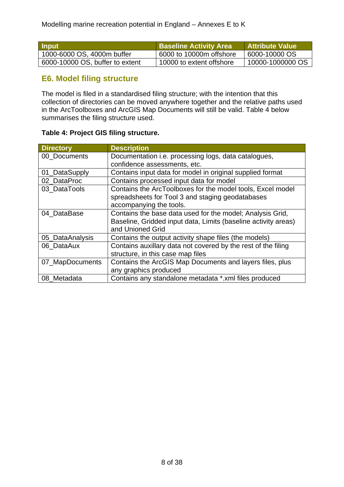<span id="page-13-0"></span>

| <b>Input</b>                    | <b>Baseline Activity Area</b> | <b>Attribute Value</b> |
|---------------------------------|-------------------------------|------------------------|
| 1000-6000 OS, 4000m buffer      | 6000 to 10000m offshore       | 6000-10000 OS          |
| 6000-10000 OS, buffer to extent | 10000 to extent offshore      | 10000-1000000 OS       |

# **E6. Model filing structure**

The model is filed in a standardised filing structure; with the intention that this collection of directories can be moved anywhere together and the relative paths used in the ArcToolboxes and ArcGIS Map Documents will still be valid. Table 4 below summarises the filing structure used.

# **Table 4: Project GIS filing structure.**

| <b>Directory</b> | <b>Description</b>                                             |
|------------------|----------------------------------------------------------------|
| 00_Documents     | Documentation i.e. processing logs, data catalogues,           |
|                  | confidence assessments, etc.                                   |
| 01_DataSupply    | Contains input data for model in original supplied format      |
| 02 DataProc      | Contains processed input data for model                        |
| 03 DataTools     | Contains the ArcToolboxes for the model tools, Excel model     |
|                  | spreadsheets for Tool 3 and staging geodatabases               |
|                  | accompanying the tools.                                        |
| 04 DataBase      | Contains the base data used for the model; Analysis Grid,      |
|                  | Baseline, Gridded input data, Limits (baseline activity areas) |
|                  | and Unioned Grid                                               |
| 05 DataAnalysis  | Contains the output activity shape files (the models)          |
| 06_DataAux       | Contains auxillary data not covered by the rest of the filing  |
|                  | structure, in this case map files                              |
| 07_MapDocuments  | Contains the ArcGIS Map Documents and layers files, plus       |
|                  | any graphics produced                                          |
| 08 Metadata      | Contains any standalone metadata *.xml files produced          |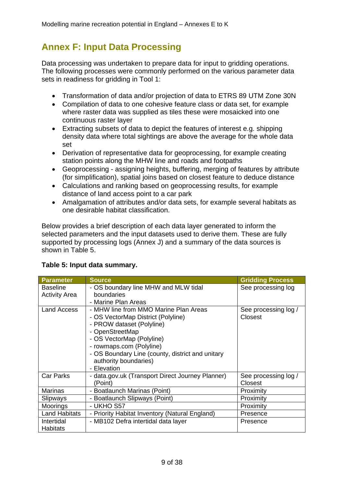# <span id="page-14-0"></span>**Annex F: Input Data Processing**

Data processing was undertaken to prepare data for input to gridding operations. The following processes were commonly performed on the various parameter data sets in readiness for gridding in Tool 1:

- Transformation of data and/or projection of data to ETRS 89 UTM Zone 30N
- Compilation of data to one cohesive feature class or data set, for example where raster data was supplied as tiles these were mosaicked into one continuous raster layer
- Extracting subsets of data to depict the features of interest e.g. shipping density data where total sightings are above the average for the whole data set
- Derivation of representative data for geoprocessing, for example creating station points along the MHW line and roads and footpaths
- Geoprocessing assigning heights, buffering, merging of features by attribute (for simplification), spatial joins based on closest feature to deduce distance
- Calculations and ranking based on geoprocessing results, for example distance of land access point to a car park
- Amalgamation of attributes and/or data sets, for example several habitats as one desirable habitat classification.

Below provides a brief description of each data layer generated to inform the selected parameters and the input datasets used to derive them. These are fully supported by processing logs (Annex J) and a summary of the data sources is shown in Table 5.

| <b>Parameter</b>     | <b>Source</b>                                    | <b>Gridding Process</b> |
|----------------------|--------------------------------------------------|-------------------------|
| <b>Baseline</b>      | - OS boundary line MHW and MLW tidal             | See processing log      |
| <b>Activity Area</b> | boundaries                                       |                         |
|                      | - Marine Plan Areas                              |                         |
| <b>Land Access</b>   | - MHW line from MMO Marine Plan Areas            | See processing log /    |
|                      | - OS VectorMap District (Polyline)               | Closest                 |
|                      | - PROW dataset (Polyline)                        |                         |
|                      | - OpenStreetMap                                  |                         |
|                      | - OS VectorMap (Polyline)                        |                         |
|                      | - rowmaps.com (Polyline)                         |                         |
|                      | - OS Boundary Line (county, district and unitary |                         |
|                      | authority boundaries)                            |                         |
|                      | - Elevation                                      |                         |
| <b>Car Parks</b>     | - data.gov.uk (Transport Direct Journey Planner) | See processing log /    |
|                      | (Point)                                          | Closest                 |
| <b>Marinas</b>       | - Boatlaunch Marinas (Point)                     | Proximity               |
| Slipways             | - Boatlaunch Slipways (Point)                    | Proximity               |
| <b>Moorings</b>      | - UKHO S57                                       | Proximity               |
| <b>Land Habitats</b> | - Priority Habitat Inventory (Natural England)   | Presence                |
| Intertidal           | - MB102 Defra intertidal data layer              | Presence                |
| <b>Habitats</b>      |                                                  |                         |

# **Table 5: Input data summary.**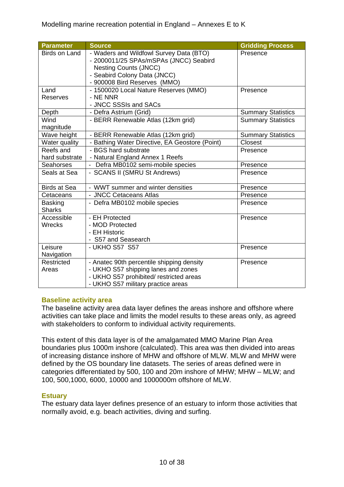| <b>Parameter</b>         | <b>Source</b>                                     | <b>Gridding Process</b>   |
|--------------------------|---------------------------------------------------|---------------------------|
| <b>Birds on Land</b>     | - Waders and Wildfowl Survey Data (BTO)           | Presence                  |
|                          | - 2000011/25 SPAs/mSPAs (JNCC) Seabird            |                           |
|                          | <b>Nesting Counts (JNCC)</b>                      |                           |
|                          | - Seabird Colony Data (JNCC)                      |                           |
|                          | - 900008 Bird Reserves (MMO)                      |                           |
| Land<br>Reserves         | - 1500020 Local Nature Reserves (MMO)<br>- NE NNR | Presence                  |
|                          | - JNCC SSSIs and SACs                             |                           |
| Depth                    | - Defra Astrium (Grid)                            | <b>Summary Statistics</b> |
| Wind                     | - BERR Renewable Atlas (12km grid)                | <b>Summary Statistics</b> |
| magnitude                |                                                   |                           |
| Wave height              | - BERR Renewable Atlas (12km grid)                | <b>Summary Statistics</b> |
| Water quality            | - Bathing Water Directive, EA Geostore (Point)    | Closest                   |
| Reefs and                | - BGS hard substrate                              | Presence                  |
| hard substrate           | - Natural England Annex 1 Reefs                   |                           |
| Seahorses                | - Defra MB0102 semi-mobile species                | Presence                  |
| Seals at Sea             | - SCANS II (SMRU St Andrews)                      | Presence                  |
|                          |                                                   |                           |
| <b>Birds at Sea</b>      | - WWT summer and winter densities                 | Presence                  |
| Cetaceans                | - JNCC Cetaceans Atlas                            | Presence                  |
| <b>Basking</b>           | - Defra MB0102 mobile species                     | Presence                  |
| <b>Sharks</b>            |                                                   |                           |
| Accessible               | - EH Protected                                    | Presence                  |
| Wrecks                   | - MOD Protected                                   |                           |
|                          | - EH Historic                                     |                           |
| Leisure                  | - S57 and Seasearch<br>- UKHO S57 S57             |                           |
|                          |                                                   | Presence                  |
| Navigation<br>Restricted | - Anatec 90th percentile shipping density         | Presence                  |
| Areas                    | - UKHO S57 shipping lanes and zones               |                           |
|                          | - UKHO S57 prohibited/ restricted areas           |                           |
|                          | - UKHO S57 military practice areas                |                           |

### **Baseline activity area**

The baseline activity area data layer defines the areas inshore and offshore where activities can take place and limits the model results to these areas only, as agreed with stakeholders to conform to individual activity requirements.

This extent of this data layer is of the amalgamated MMO Marine Plan Area boundaries plus 1000m inshore (calculated). This area was then divided into areas of increasing distance inshore of MHW and offshore of MLW. MLW and MHW were defined by the OS boundary line datasets. The series of areas defined were in categories differentiated by 500, 100 and 20m inshore of MHW; MHW – MLW; and 100, 500,1000, 6000, 10000 and 1000000m offshore of MLW.

### **Estuary**

The estuary data layer defines presence of an estuary to inform those activities that normally avoid, e.g. beach activities, diving and surfing.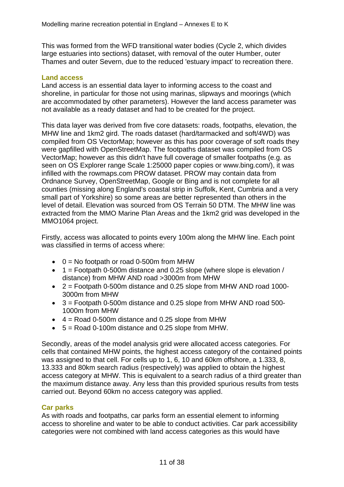This was formed from the WFD transitional water bodies (Cycle 2, which divides large estuaries into sections) dataset, with removal of the outer Humber, outer Thames and outer Severn, due to the reduced 'estuary impact' to recreation there.

### **Land access**

Land access is an essential data layer to informing access to the coast and shoreline, in particular for those not using marinas, slipways and moorings (which are accommodated by other parameters). However the land access parameter was not available as a ready dataset and had to be created for the project.

This data layer was derived from five core datasets: roads, footpaths, elevation, the MHW line and 1km2 gird. The roads dataset (hard/tarmacked and soft/4WD) was compiled from OS VectorMap; however as this has poor coverage of soft roads they were gapfilled with OpenStreetMap. The footpaths dataset was compiled from OS VectorMap; however as this didn't have full coverage of smaller footpaths (e.g. as seen on OS Explorer range Scale 1:25000 paper copies or www.bing.com/), it was infilled with the rowmaps.com PROW dataset. PROW may contain data from Ordnance Survey, OpenStreetMap, Google or Bing and is not complete for all counties (missing along England's coastal strip in Suffolk, Kent, Cumbria and a very small part of Yorkshire) so some areas are better represented than others in the level of detail. Elevation was sourced from OS Terrain 50 DTM. The MHW line was extracted from the MMO Marine Plan Areas and the 1km2 grid was developed in the MMO1064 project.

Firstly, access was allocated to points every 100m along the MHW line. Each point was classified in terms of access where:

- $\bullet$  0 = No footpath or road 0-500m from MHW
- $\bullet$  1 = Footpath 0-500m distance and 0.25 slope (where slope is elevation / distance) from MHW AND road >3000m from MHW
- $\bullet$  2 = Footpath 0-500m distance and 0.25 slope from MHW AND road 1000-3000m from MHW
- 3 = Footpath 0-500m distance and 0.25 slope from MHW AND road 500- 1000m from MHW
- $\bullet$  4 = Road 0-500m distance and 0.25 slope from MHW
- 5 = Road 0-100m distance and 0.25 slope from MHW.

Secondly, areas of the model analysis grid were allocated access categories. For cells that contained MHW points, the highest access category of the contained points was assigned to that cell. For cells up to 1, 6, 10 and 60km offshore, a 1.333, 8, 13.333 and 80km search radius (respectively) was applied to obtain the highest access category at MHW. This is equivalent to a search radius of a third greater than the maximum distance away. Any less than this provided spurious results from tests carried out. Beyond 60km no access category was applied.

### **Car parks**

As with roads and footpaths, car parks form an essential element to informing access to shoreline and water to be able to conduct activities. Car park accessibility categories were not combined with land access categories as this would have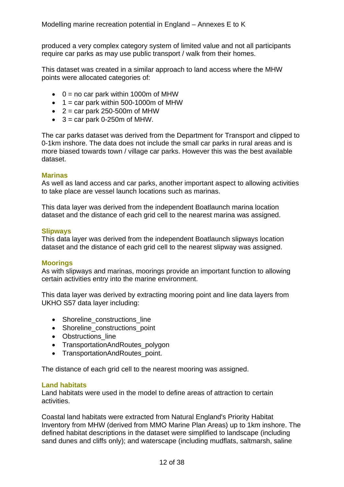produced a very complex category system of limited value and not all participants require car parks as may use public transport / walk from their homes.

This dataset was created in a similar approach to land access where the MHW points were allocated categories of:

- $\bullet$  0 = no car park within 1000m of MHW
- $\bullet$  1 = car park within 500-1000m of MHW
- $\bullet$  2 = car park 250-500m of MHW
- $\bullet$  3 = car park 0-250m of MHW.

The car parks dataset was derived from the Department for Transport and clipped to 0-1km inshore. The data does not include the small car parks in rural areas and is more biased towards town / village car parks. However this was the best available dataset.

#### **Marinas**

As well as land access and car parks, another important aspect to allowing activities to take place are vessel launch locations such as marinas.

This data layer was derived from the independent Boatlaunch marina location dataset and the distance of each grid cell to the nearest marina was assigned.

#### **Slipways**

This data layer was derived from the independent Boatlaunch slipways location dataset and the distance of each grid cell to the nearest slipway was assigned.

#### **Moorings**

As with slipways and marinas, moorings provide an important function to allowing certain activities entry into the marine environment.

This data layer was derived by extracting mooring point and line data layers from UKHO S57 data layer including:

- Shoreline\_constructions line
- Shoreline\_constructions\_point
- Obstructions line
- TransportationAndRoutes polygon
- TransportationAndRoutes point.

The distance of each grid cell to the nearest mooring was assigned.

#### **Land habitats**

Land habitats were used in the model to define areas of attraction to certain activities.

Coastal land habitats were extracted from Natural England's Priority Habitat Inventory from MHW (derived from MMO Marine Plan Areas) up to 1km inshore. The defined habitat descriptions in the dataset were simplified to landscape (including sand dunes and cliffs only); and waterscape (including mudflats, saltmarsh, saline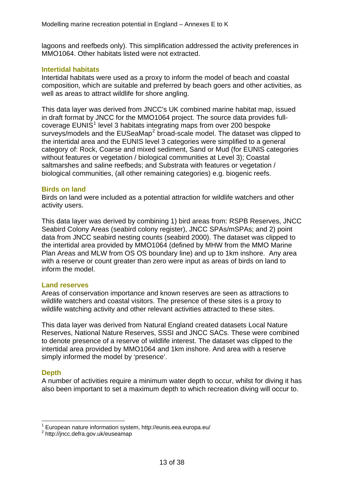lagoons and reefbeds only). This simplification addressed the activity preferences in MMO1064. Other habitats listed were not extracted.

#### **Intertidal habitats**

Intertidal habitats were used as a proxy to inform the model of beach and coastal composition, which are suitable and preferred by beach goers and other activities, as well as areas to attract wildlife for shore angling.

This data layer was derived from JNCC's UK combined marine habitat map, issued in draft format by JNCC for the MMO1064 project. The source data provides full-coverage EUNIS<sup>[1](#page-18-0)</sup> level 3 habitats integrating maps from over 200 bespoke surveys/models and the EUSeaMap<sup>[2](#page-18-1)</sup> broad-scale model. The dataset was clipped to the intertidal area and the EUNIS level 3 categories were simplified to a general category of: Rock, Coarse and mixed sediment, Sand or Mud (for EUNIS categories without features or vegetation / biological communities at Level 3); Coastal saltmarshes and saline reefbeds; and Substrata with features or vegetation / biological communities, (all other remaining categories) e.g. biogenic reefs.

#### **Birds on land**

Birds on land were included as a potential attraction for wildlife watchers and other activity users.

This data layer was derived by combining 1) bird areas from: RSPB Reserves, JNCC Seabird Colony Areas (seabird colony register), JNCC SPAs/mSPAs; and 2) point data from JNCC seabird nesting counts (seabird 2000). The dataset was clipped to the intertidal area provided by MMO1064 (defined by MHW from the MMO Marine Plan Areas and MLW from OS OS boundary line) and up to 1km inshore. Any area with a reserve or count greater than zero were input as areas of birds on land to inform the model.

#### **Land reserves**

Areas of conservation importance and known reserves are seen as attractions to wildlife watchers and coastal visitors. The presence of these sites is a proxy to wildlife watching activity and other relevant activities attracted to these sites.

This data layer was derived from Natural England created datasets Local Nature Reserves, National Nature Reserves, SSSI and JNCC SACs. These were combined to denote presence of a reserve of wildlife interest. The dataset was clipped to the intertidal area provided by MMO1064 and 1km inshore. And area with a reserve simply informed the model by 'presence'.

### **Depth**

1

A number of activities require a minimum water depth to occur, whilst for diving it has also been important to set a maximum depth to which recreation diving will occur to.

<span id="page-18-0"></span><sup>1</sup> European nature information system, http://eunis.eea.europa.eu/

<span id="page-18-1"></span><sup>&</sup>lt;sup>2</sup> http://jncc.defra.gov.uk/euseamap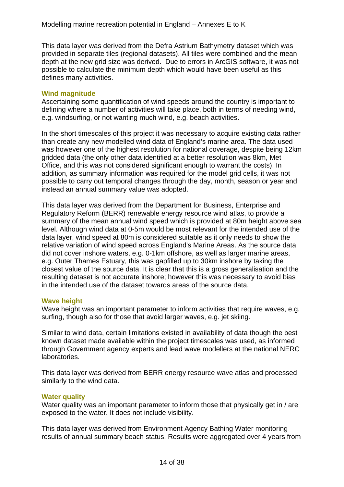This data layer was derived from the Defra Astrium Bathymetry dataset which was provided in separate tiles (regional datasets). All tiles were combined and the mean depth at the new grid size was derived. Due to errors in ArcGIS software, it was not possible to calculate the minimum depth which would have been useful as this defines many activities.

#### **Wind magnitude**

Ascertaining some quantification of wind speeds around the country is important to defining where a number of activities will take place, both in terms of needing wind, e.g. windsurfing, or not wanting much wind, e.g. beach activities.

In the short timescales of this project it was necessary to acquire existing data rather than create any new modelled wind data of England's marine area. The data used was however one of the highest resolution for national coverage, despite being 12km gridded data (the only other data identified at a better resolution was 8km, Met Office, and this was not considered significant enough to warrant the costs). In addition, as summary information was required for the model grid cells, it was not possible to carry out temporal changes through the day, month, season or year and instead an annual summary value was adopted.

This data layer was derived from the Department for Business, Enterprise and Regulatory Reform (BERR) renewable energy resource wind atlas, to provide a summary of the mean annual wind speed which is provided at 80m height above sea level. Although wind data at 0-5m would be most relevant for the intended use of the data layer, wind speed at 80m is considered suitable as it only needs to show the relative variation of wind speed across England's Marine Areas. As the source data did not cover inshore waters, e.g. 0-1km offshore, as well as larger marine areas, e.g. Outer Thames Estuary, this was gapfilled up to 30km inshore by taking the closest value of the source data. It is clear that this is a gross generalisation and the resulting dataset is not accurate inshore; however this was necessary to avoid bias in the intended use of the dataset towards areas of the source data.

### **Wave height**

Wave height was an important parameter to inform activities that require waves, e.g. surfing, though also for those that avoid larger waves, e.g. jet skiing.

Similar to wind data, certain limitations existed in availability of data though the best known dataset made available within the project timescales was used, as informed through Government agency experts and lead wave modellers at the national NERC laboratories.

This data layer was derived from BERR energy resource wave atlas and processed similarly to the wind data.

#### **Water quality**

Water quality was an important parameter to inform those that physically get in / are exposed to the water. It does not include visibility.

This data layer was derived from Environment Agency Bathing Water monitoring results of annual summary beach status. Results were aggregated over 4 years from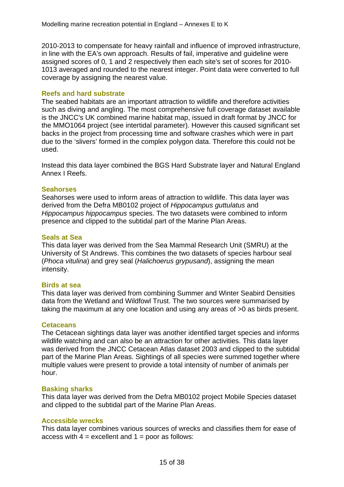2010-2013 to compensate for heavy rainfall and influence of improved infrastructure, in line with the EA's own approach. Results of fail, imperative and guideline were assigned scores of 0, 1 and 2 respectively then each site's set of scores for 2010- 1013 averaged and rounded to the nearest integer. Point data were converted to full coverage by assigning the nearest value.

#### **Reefs and hard substrate**

The seabed habitats are an important attraction to wildlife and therefore activities such as diving and angling. The most comprehensive full coverage dataset available is the JNCC's UK combined marine habitat map, issued in draft format by JNCC for the MMO1064 project (see intertidal parameter). However this caused significant set backs in the project from processing time and software crashes which were in part due to the 'slivers' formed in the complex polygon data. Therefore this could not be used.

Instead this data layer combined the BGS Hard Substrate layer and Natural England Annex I Reefs.

#### **Seahorses**

Seahorses were used to inform areas of attraction to wildlife. This data layer was derived from the Defra MB0102 project of *Hippocampus guttulatus* and *Hippocampus hippocampus* species. The two datasets were combined to inform presence and clipped to the subtidal part of the Marine Plan Areas.

#### **Seals at Sea**

This data layer was derived from the Sea Mammal Research Unit (SMRU) at the University of St Andrews. This combines the two datasets of species harbour seal (*Phoca vitulina*) and grey seal (*Halichoerus grypusand*), assigning the mean intensity.

#### **Birds at sea**

This data layer was derived from combining Summer and Winter Seabird Densities data from the Wetland and Wildfowl Trust. The two sources were summarised by taking the maximum at any one location and using any areas of >0 as birds present.

#### **Cetaceans**

The Cetacean sightings data layer was another identified target species and informs wildlife watching and can also be an attraction for other activities. This data layer was derived from the JNCC Cetacean Atlas dataset 2003 and clipped to the subtidal part of the Marine Plan Areas. Sightings of all species were summed together where multiple values were present to provide a total intensity of number of animals per hour.

#### **Basking sharks**

This data layer was derived from the Defra MB0102 project Mobile Species dataset and clipped to the subtidal part of the Marine Plan Areas.

#### **Accessible wrecks**

This data layer combines various sources of wrecks and classifies them for ease of access with  $4 =$  excellent and  $1 =$  poor as follows: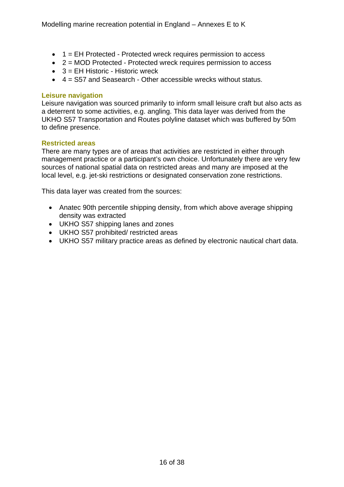- 1 = EH Protected Protected wreck requires permission to access
- 2 = MOD Protected Protected wreck requires permission to access
- $\bullet$  3 = EH Historic Historic wreck
- 4 = S57 and Seasearch Other accessible wrecks without status.

#### **Leisure navigation**

Leisure navigation was sourced primarily to inform small leisure craft but also acts as a deterrent to some activities, e.g. angling. This data layer was derived from the UKHO S57 Transportation and Routes polyline dataset which was buffered by 50m to define presence.

### **Restricted areas**

There are many types are of areas that activities are restricted in either through management practice or a participant's own choice. Unfortunately there are very few sources of national spatial data on restricted areas and many are imposed at the local level, e.g. jet-ski restrictions or designated conservation zone restrictions.

This data layer was created from the sources:

- Anatec 90th percentile shipping density, from which above average shipping density was extracted
- UKHO S57 shipping lanes and zones
- UKHO S57 prohibited/ restricted areas
- UKHO S57 military practice areas as defined by electronic nautical chart data.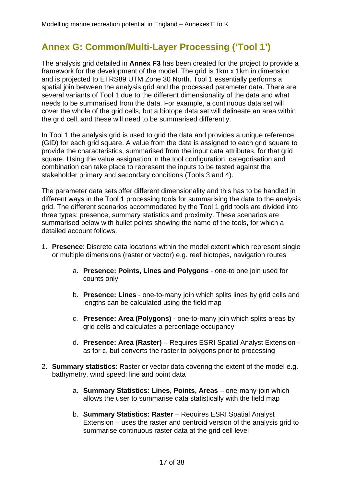# <span id="page-22-0"></span>**Annex G: Common/Multi-Layer Processing ('Tool 1')**

The analysis grid detailed in **Annex F3** has been created for the project to provide a framework for the development of the model. The grid is 1km x 1km in dimension and is projected to ETRS89 UTM Zone 30 North. Tool 1 essentially performs a spatial join between the analysis grid and the processed parameter data. There are several variants of Tool 1 due to the different dimensionality of the data and what needs to be summarised from the data. For example, a continuous data set will cover the whole of the grid cells, but a biotope data set will delineate an area within the grid cell, and these will need to be summarised differently.

In Tool 1 the analysis grid is used to grid the data and provides a unique reference (GID) for each grid square. A value from the data is assigned to each grid square to provide the characteristics, summarised from the input data attributes, for that grid square. Using the value assignation in the tool configuration, categorisation and combination can take place to represent the inputs to be tested against the stakeholder primary and secondary conditions (Tools 3 and 4).

The parameter data sets offer different dimensionality and this has to be handled in different ways in the Tool 1 processing tools for summarising the data to the analysis grid. The different scenarios accommodated by the Tool 1 grid tools are divided into three types: presence, summary statistics and proximity. These scenarios are summarised below with bullet points showing the name of the tools, for which a detailed account follows.

- 1. **Presence**: Discrete data locations within the model extent which represent single or multiple dimensions (raster or vector) e.g. reef biotopes, navigation routes
	- a. **Presence: Points, Lines and Polygons**  one-to one join used for counts only
	- b. **Presence: Lines** one-to-many join which splits lines by grid cells and lengths can be calculated using the field map
	- c. **Presence: Area (Polygons)** one-to-many join which splits areas by grid cells and calculates a percentage occupancy
	- d. **Presence: Area (Raster)**  Requires ESRI Spatial Analyst Extension as for c, but converts the raster to polygons prior to processing
- 2. **Summary statistics**: Raster or vector data covering the extent of the model e.g. bathymetry, wind speed; line and point data
	- a. **Summary Statistics: Lines, Points, Areas** one-many-join which allows the user to summarise data statistically with the field map
	- b. **Summary Statistics: Raster** Requires ESRI Spatial Analyst Extension – uses the raster and centroid version of the analysis grid to summarise continuous raster data at the grid cell level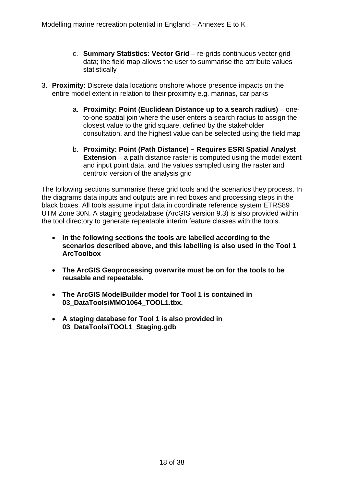- c. **Summary Statistics: Vector Grid** re-grids continuous vector grid data; the field map allows the user to summarise the attribute values statistically
- 3. **Proximity**: Discrete data locations onshore whose presence impacts on the entire model extent in relation to their proximity e.g. marinas, car parks
	- a. **Proximity: Point (Euclidean Distance up to a search radius)** oneto-one spatial join where the user enters a search radius to assign the closest value to the grid square, defined by the stakeholder consultation, and the highest value can be selected using the field map
	- b. **Proximity: Point (Path Distance) Requires ESRI Spatial Analyst Extension** – a path distance raster is computed using the model extent and input point data, and the values sampled using the raster and centroid version of the analysis grid

The following sections summarise these grid tools and the scenarios they process. In the diagrams data inputs and outputs are in red boxes and processing steps in the black boxes. All tools assume input data in coordinate reference system ETRS89 UTM Zone 30N. A staging geodatabase (ArcGIS version 9.3) is also provided within the tool directory to generate repeatable interim feature classes with the tools.

- **In the following sections the tools are labelled according to the scenarios described above, and this labelling is also used in the Tool 1 ArcToolbox**
- **The ArcGIS Geoprocessing overwrite must be on for the tools to be reusable and repeatable.**
- **The ArcGIS ModelBuilder model for Tool 1 is contained in 03\_DataTools\MMO1064\_TOOL1.tbx.**
- **A staging database for Tool 1 is also provided in 03\_DataTools\TOOL1\_Staging.gdb**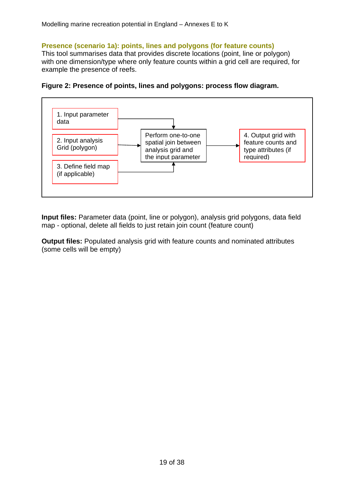# <span id="page-24-0"></span>**Presence (scenario 1a): points, lines and polygons (for feature counts)**

This tool summarises data that provides discrete locations (point, line or polygon) with one dimension/type where only feature counts within a grid cell are required, for example the presence of reefs.





**Input files:** Parameter data (point, line or polygon), analysis grid polygons, data field map - optional, delete all fields to just retain join count (feature count)

**Output files:** Populated analysis grid with feature counts and nominated attributes (some cells will be empty)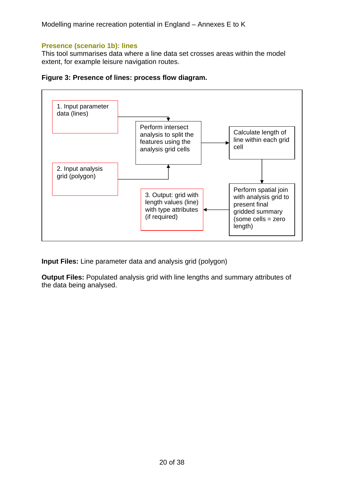# <span id="page-25-0"></span>**Presence (scenario 1b): lines**

This tool summarises data where a line data set crosses areas within the model extent, for example leisure navigation routes.





**Input Files:** Line parameter data and analysis grid (polygon)

**Output Files:** Populated analysis grid with line lengths and summary attributes of the data being analysed.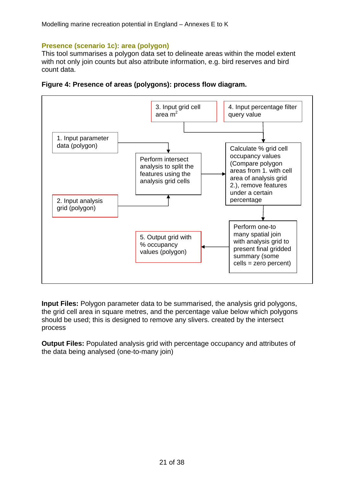# <span id="page-26-0"></span>**Presence (scenario 1c): area (polygon)**

This tool summarises a polygon data set to delineate areas within the model extent with not only join counts but also attribute information, e.g. bird reserves and bird count data.



**Figure 4: Presence of areas (polygons): process flow diagram.** 

**Input Files:** Polygon parameter data to be summarised, the analysis grid polygons, the grid cell area in square metres, and the percentage value below which polygons should be used; this is designed to remove any slivers. created by the intersect process

**Output Files:** Populated analysis grid with percentage occupancy and attributes of the data being analysed (one-to-many join)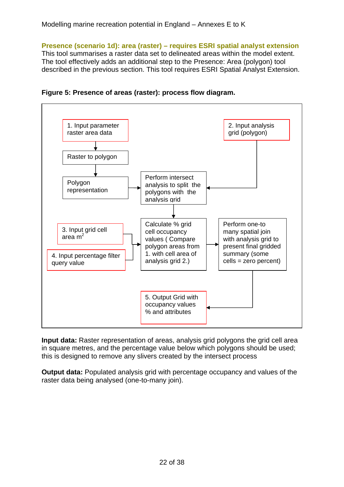<span id="page-27-0"></span>**Presence (scenario 1d): area (raster) – requires ESRI spatial analyst extension**  This tool summarises a raster data set to delineated areas within the model extent. The tool effectively adds an additional step to the Presence: Area (polygon) tool described in the previous section. This tool requires ESRI Spatial Analyst Extension.





**Input data:** Raster representation of areas, analysis grid polygons the grid cell area in square metres, and the percentage value below which polygons should be used; this is designed to remove any slivers created by the intersect process

**Output data:** Populated analysis grid with percentage occupancy and values of the raster data being analysed (one-to-many join).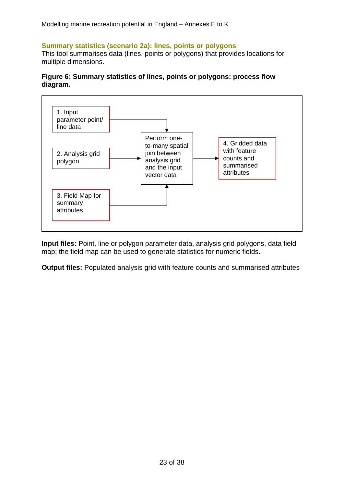## <span id="page-28-0"></span>**Summary statistics (scenario 2a): lines, points or polygons**

This tool summarises data (lines, points or polygons) that provides locations for multiple dimensions.

### **Figure 6: Summary statistics of lines, points or polygons: process flow diagram.**



**Input files:** Point, line or polygon parameter data, analysis grid polygons, data field map; the field map can be used to generate statistics for numeric fields.

**Output files:** Populated analysis grid with feature counts and summarised attributes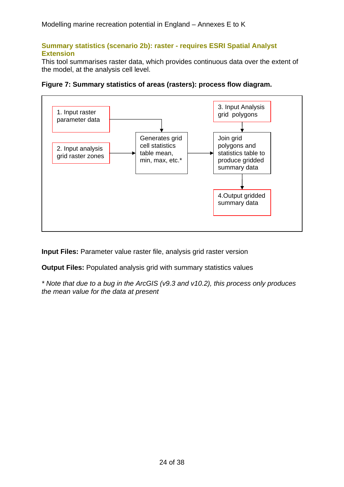## <span id="page-29-0"></span>**Summary statistics (scenario 2b): raster - requires ESRI Spatial Analyst Extension**

This tool summarises raster data, which provides continuous data over the extent of the model, at the analysis cell level.



**Figure 7: Summary statistics of areas (rasters): process flow diagram.** 

**Input Files:** Parameter value raster file, analysis grid raster version

**Output Files:** Populated analysis grid with summary statistics values

*\* Note that due to a bug in the ArcGIS (v9.3 and v10.2), this process only produces the mean value for the data at present*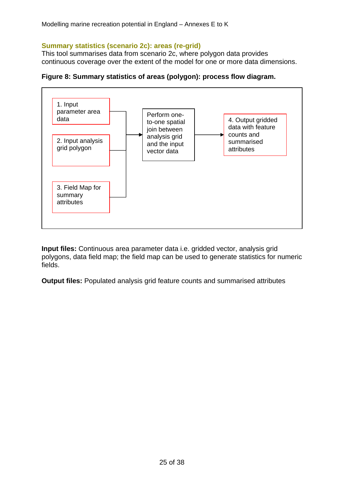## <span id="page-30-0"></span>**Summary statistics (scenario 2c): areas (re-grid)**

This tool summarises data from scenario 2c, where polygon data provides continuous coverage over the extent of the model for one or more data dimensions.





**Input files:** Continuous area parameter data i.e. gridded vector, analysis grid polygons, data field map; the field map can be used to generate statistics for numeric fields.

**Output files:** Populated analysis grid feature counts and summarised attributes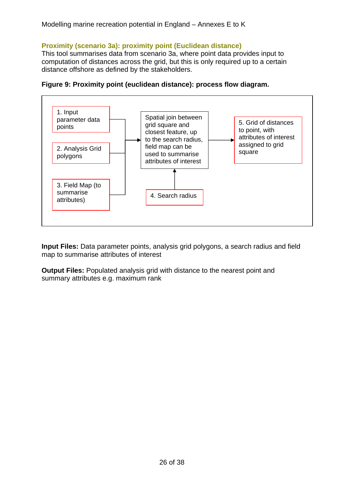# <span id="page-31-0"></span>**Proximity (scenario 3a): proximity point (Euclidean distance)**

This tool summarises data from scenario 3a, where point data provides input to computation of distances across the grid, but this is only required up to a certain distance offshore as defined by the stakeholders.



**Figure 9: Proximity point (euclidean distance): process flow diagram.** 

**Input Files:** Data parameter points, analysis grid polygons, a search radius and field map to summarise attributes of interest

**Output Files:** Populated analysis grid with distance to the nearest point and summary attributes e.g. maximum rank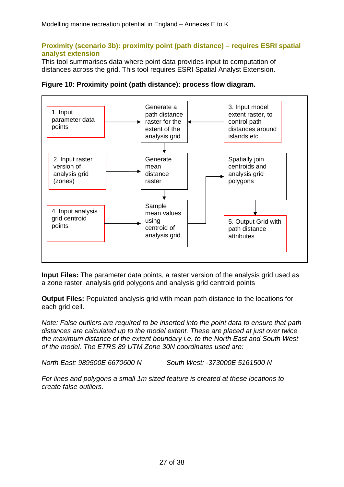## <span id="page-32-0"></span>**Proximity (scenario 3b): proximity point (path distance) – requires ESRI spatial analyst extension**

This tool summarises data where point data provides input to computation of distances across the grid. This tool requires ESRI Spatial Analyst Extension.





**Input Files:** The parameter data points, a raster version of the analysis grid used as a zone raster, analysis grid polygons and analysis grid centroid points

**Output Files:** Populated analysis grid with mean path distance to the locations for each grid cell.

*Note: False outliers are required to be inserted into the point data to ensure that path distances are calculated up to the model extent. These are placed at just over twice the maximum distance of the extent boundary i.e. to the North East and South West of the model. The ETRS 89 UTM Zone 30N coordinates used are:* 

*North East: 989500E 6670600 N South West: -373000E 5161500 N* 

*For lines and polygons a small 1m sized feature is created at these locations to create false outliers.*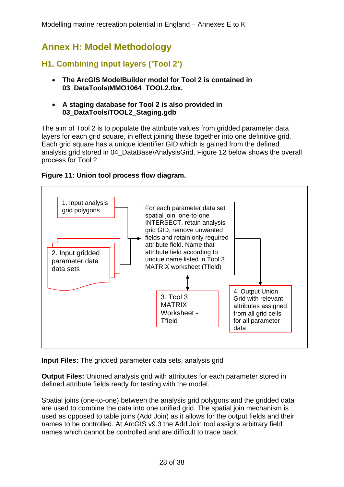# <span id="page-33-0"></span>**Annex H: Model Methodology**

# **H1. Combining input layers ('Tool 2')**

- **The ArcGIS ModelBuilder model for Tool 2 is contained in 03\_DataTools\MMO1064\_TOOL2.tbx.**
- **A staging database for Tool 2 is also provided in 03\_DataTools\TOOL2\_Staging.gdb**

The aim of Tool 2 is to populate the attribute values from gridded parameter data layers for each grid square, in effect joining these together into one definitive grid. Each grid square has a unique identifier GID which is gained from the defined analysis grid stored in 04\_DataBase\AnalysisGrid. Figure 12 below shows the overall process for Tool 2.

## **Figure 11: Union tool process flow diagram.**



**Input Files:** The gridded parameter data sets, analysis grid

**Output Files:** Unioned analysis grid with attributes for each parameter stored in defined attribute fields ready for testing with the model.

Spatial joins (one-to-one) between the analysis grid polygons and the gridded data are used to combine the data into one unified grid. The spatial join mechanism is used as opposed to table joins (Add Join) as it allows for the output fields and their names to be controlled. At ArcGIS v9.3 the Add Join tool assigns arbitrary field names which cannot be controlled and are difficult to trace back.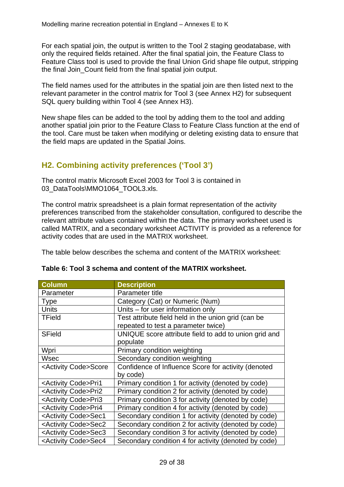<span id="page-34-0"></span>For each spatial join, the output is written to the Tool 2 staging geodatabase, with only the required fields retained. After the final spatial join, the Feature Class to Feature Class tool is used to provide the final Union Grid shape file output, stripping the final Join\_Count field from the final spatial join output.

The field names used for the attributes in the spatial join are then listed next to the relevant parameter in the control matrix for Tool 3 (see Annex H2) for subsequent SQL query building within Tool 4 (see Annex H3).

New shape files can be added to the tool by adding them to the tool and adding another spatial join prior to the Feature Class to Feature Class function at the end of the tool. Care must be taken when modifying or deleting existing data to ensure that the field maps are updated in the Spatial Joins.

# **H2. Combining activity preferences ('Tool 3')**

The control matrix Microsoft Excel 2003 for Tool 3 is contained in 03\_DataTools\MMO1064\_TOOL3.xls.

The control matrix spreadsheet is a plain format representation of the activity preferences transcribed from the stakeholder consultation, configured to describe the relevant attribute values contained within the data. The primary worksheet used is called MATRIX, and a secondary worksheet ACTIVITY is provided as a reference for activity codes that are used in the MATRIX worksheet.

The table below describes the schema and content of the MATRIX worksheet:

| <b>Column</b>                      | <b>Description</b>                                    |
|------------------------------------|-------------------------------------------------------|
| Parameter                          | Parameter title                                       |
| <b>Type</b>                        | Category (Cat) or Numeric (Num)                       |
| <b>Units</b>                       | Units - for user information only                     |
| <b>TField</b>                      | Test attribute field held in the union grid (can be   |
|                                    | repeated to test a parameter twice)                   |
| <b>SField</b>                      | UNIQUE score attribute field to add to union grid and |
|                                    | populate                                              |
| Wpri                               | Primary condition weighting                           |
| Wsec                               | Secondary condition weighting                         |
| <activity code="">Score</activity> | Confidence of Influence Score for activity (denoted   |
|                                    | by code)                                              |
| <activity code="">Pri1</activity>  | Primary condition 1 for activity (denoted by code)    |
| <activity code="">Pri2</activity>  | Primary condition 2 for activity (denoted by code)    |
| <activity code="">Pri3</activity>  | Primary condition 3 for activity (denoted by code)    |
| <activity code="">Pri4</activity>  | Primary condition 4 for activity (denoted by code)    |
| <activity code="">Sec1</activity>  | Secondary condition 1 for activity (denoted by code)  |
| <activity code="">Sec2</activity>  | Secondary condition 2 for activity (denoted by code)  |
| <activity code="">Sec3</activity>  | Secondary condition 3 for activity (denoted by code)  |
| <activity code="">Sec4</activity>  | Secondary condition 4 for activity (denoted by code)  |

# **Table 6: Tool 3 schema and content of the MATRIX worksheet.**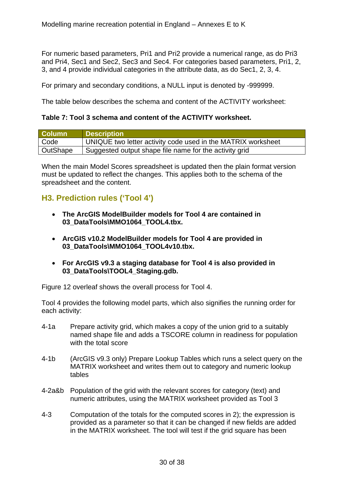<span id="page-35-0"></span>For numeric based parameters, Pri1 and Pri2 provide a numerical range, as do Pri3 and Pri4, Sec1 and Sec2, Sec3 and Sec4. For categories based parameters, Pri1, 2, 3, and 4 provide individual categories in the attribute data, as do Sec1, 2, 3, 4.

For primary and secondary conditions, a NULL input is denoted by -999999.

The table below describes the schema and content of the ACTIVITY worksheet:

#### **Table 7: Tool 3 schema and content of the ACTIVITY worksheet.**

| <b>Column</b> | <b>Description</b>                                           |
|---------------|--------------------------------------------------------------|
| Code          | UNIQUE two letter activity code used in the MATRIX worksheet |
| OutShape      | Suggested output shape file name for the activity grid       |

When the main Model Scores spreadsheet is updated then the plain format version must be updated to reflect the changes. This applies both to the schema of the spreadsheet and the content.

# **H3. Prediction rules ('Tool 4')**

- **The ArcGIS ModelBuilder models for Tool 4 are contained in 03\_DataTools\MMO1064\_TOOL4.tbx.**
- **ArcGIS v10.2 ModelBuilder models for Tool 4 are provided in 03\_DataTools\MMO1064\_TOOL4v10.tbx.**
- **For ArcGIS v9.3 a staging database for Tool 4 is also provided in 03\_DataTools\TOOL4\_Staging.gdb.**

Figure 12 overleaf shows the overall process for Tool 4.

Tool 4 provides the following model parts, which also signifies the running order for each activity:

- 4-1a Prepare activity grid, which makes a copy of the union grid to a suitably named shape file and adds a TSCORE column in readiness for population with the total score
- 4-1b (ArcGIS v9.3 only) Prepare Lookup Tables which runs a select query on the MATRIX worksheet and writes them out to category and numeric lookup tables
- 4-2a&b Population of the grid with the relevant scores for category (text) and numeric attributes, using the MATRIX worksheet provided as Tool 3
- 4-3 Computation of the totals for the computed scores in 2); the expression is provided as a parameter so that it can be changed if new fields are added in the MATRIX worksheet. The tool will test if the grid square has been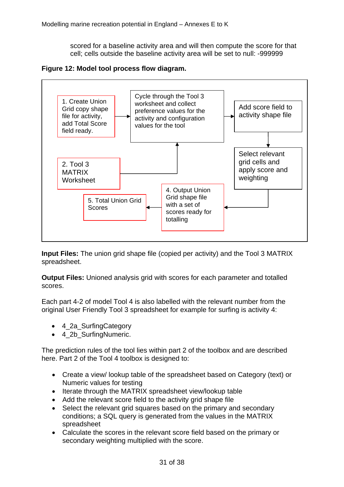scored for a baseline activity area and will then compute the score for that cell; cells outside the baseline activity area will be set to null: -999999

<span id="page-36-0"></span>**Figure 12: Model tool process flow diagram.** 



**Input Files:** The union grid shape file (copied per activity) and the Tool 3 MATRIX spreadsheet.

**Output Files:** Unioned analysis grid with scores for each parameter and totalled scores.

Each part 4-2 of model Tool 4 is also labelled with the relevant number from the original User Friendly Tool 3 spreadsheet for example for surfing is activity 4:

- 4 2a SurfingCategory
- 4 2b SurfingNumeric.

The prediction rules of the tool lies within part 2 of the toolbox and are described here. Part 2 of the Tool 4 toolbox is designed to:

- Create a view/ lookup table of the spreadsheet based on Category (text) or Numeric values for testing
- Iterate through the MATRIX spreadsheet view/lookup table
- Add the relevant score field to the activity grid shape file
- Select the relevant grid squares based on the primary and secondary conditions; a SQL query is generated from the values in the MATRIX spreadsheet
- Calculate the scores in the relevant score field based on the primary or secondary weighting multiplied with the score.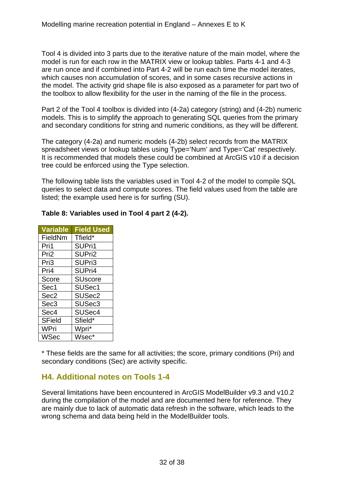<span id="page-37-0"></span>Tool 4 is divided into 3 parts due to the iterative nature of the main model, where the model is run for each row in the MATRIX view or lookup tables. Parts 4-1 and 4-3 are run once and if combined into Part 4-2 will be run each time the model iterates, which causes non accumulation of scores, and in some cases recursive actions in the model. The activity grid shape file is also exposed as a parameter for part two of the toolbox to allow flexibility for the user in the naming of the file in the process.

Part 2 of the Tool 4 toolbox is divided into (4-2a) category (string) and (4-2b) numeric models. This is to simplify the approach to generating SQL queries from the primary and secondary conditions for string and numeric conditions, as they will be different.

The category (4-2a) and numeric models (4-2b) select records from the MATRIX spreadsheet views or lookup tables using Type='Num' and Type='Cat' respectively. It is recommended that models these could be combined at ArcGIS v10 if a decision tree could be enforced using the Type selection.

The following table lists the variables used in Tool 4-2 of the model to compile SQL queries to select data and compute scores. The field values used from the table are listed; the example used here is for surfing (SU).

| <b>Variable</b>  | <b>Field Used</b>  |
|------------------|--------------------|
| FieldNm          | Tfield*            |
| Pri1             | SUPri1             |
| Pri <sub>2</sub> | SUPri2             |
| Pri3             | SUPri3             |
| Pri4             | SUPri4             |
| Score            | <b>SUscore</b>     |
| Sec1             | SUSec1             |
| Sec <sub>2</sub> | SUSec <sub>2</sub> |
| Sec <sub>3</sub> | SUSec <sub>3</sub> |
| Sec4             | SUSec4             |
| <b>SField</b>    | Sfield*            |
| WPri             | Wpri*              |
| <b>WSec</b>      | Wsec*              |

# **Table 8: Variables used in Tool 4 part 2 (4-2).**

\* These fields are the same for all activities; the score, primary conditions (Pri) and secondary conditions (Sec) are activity specific.

# **H4. Additional notes on Tools 1-4**

Several limitations have been encountered in ArcGIS ModelBuilder v9.3 and v10.2 during the compilation of the model and are documented here for reference. They are mainly due to lack of automatic data refresh in the software, which leads to the wrong schema and data being held in the ModelBuilder tools.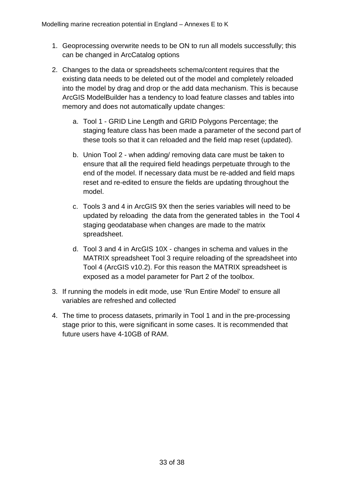- 1. Geoprocessing overwrite needs to be ON to run all models successfully; this can be changed in ArcCatalog options
- 2. Changes to the data or spreadsheets schema/content requires that the existing data needs to be deleted out of the model and completely reloaded into the model by drag and drop or the add data mechanism. This is because ArcGIS ModelBuilder has a tendency to load feature classes and tables into memory and does not automatically update changes:
	- a. Tool 1 GRID Line Length and GRID Polygons Percentage; the staging feature class has been made a parameter of the second part of these tools so that it can reloaded and the field map reset (updated).
	- b. Union Tool 2 when adding/ removing data care must be taken to ensure that all the required field headings perpetuate through to the end of the model. If necessary data must be re-added and field maps reset and re-edited to ensure the fields are updating throughout the model.
	- c. Tools 3 and 4 in ArcGIS 9X then the series variables will need to be updated by reloading the data from the generated tables in the Tool 4 staging geodatabase when changes are made to the matrix spreadsheet.
	- d. Tool 3 and 4 in ArcGIS 10X changes in schema and values in the MATRIX spreadsheet Tool 3 require reloading of the spreadsheet into Tool 4 (ArcGIS v10.2). For this reason the MATRIX spreadsheet is exposed as a model parameter for Part 2 of the toolbox.
- 3. If running the models in edit mode, use 'Run Entire Model' to ensure all variables are refreshed and collected
- 4. The time to process datasets, primarily in Tool 1 and in the pre-processing stage prior to this, were significant in some cases. It is recommended that future users have 4-10GB of RAM.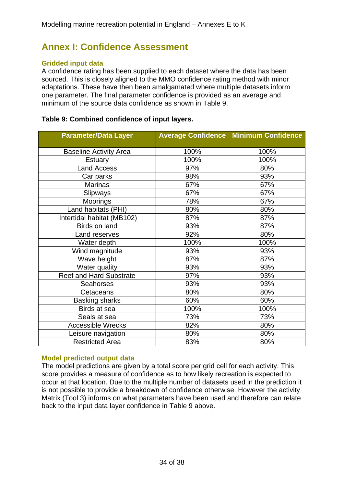# <span id="page-39-0"></span>**Annex I: Confidence Assessment**

## **Gridded input data**

A confidence rating has been supplied to each dataset where the data has been sourced. This is closely aligned to the MMO confidence rating method with minor adaptations. These have then been amalgamated where multiple datasets inform one parameter. The final parameter confidence is provided as an average and minimum of the source data confidence as shown in Table 9.

## **Table 9: Combined confidence of input layers.**

| <b>Parameter/Data Layer</b>    |      | <b>Average Confidence Minimum Confidence</b> |
|--------------------------------|------|----------------------------------------------|
| <b>Baseline Activity Area</b>  | 100% | 100%                                         |
| <b>Estuary</b>                 | 100% | 100%                                         |
| <b>Land Access</b>             | 97%  | 80%                                          |
| Car parks                      | 98%  | 93%                                          |
| <b>Marinas</b>                 | 67%  | 67%                                          |
| Slipways                       | 67%  | 67%                                          |
| <b>Moorings</b>                | 78%  | 67%                                          |
| Land habitats (PHI)            | 80%  | 80%                                          |
| Intertidal habitat (MB102)     | 87%  | 87%                                          |
| Birds on land                  | 93%  | 87%                                          |
| Land reserves                  | 92%  | 80%                                          |
| Water depth                    | 100% | 100%                                         |
| Wind magnitude                 | 93%  | 93%                                          |
| Wave height                    | 87%  | 87%                                          |
| Water quality                  | 93%  | 93%                                          |
| <b>Reef and Hard Substrate</b> | 97%  | 93%                                          |
| <b>Seahorses</b>               | 93%  | 93%                                          |
| Cetaceans                      | 80%  | 80%                                          |
| <b>Basking sharks</b>          | 60%  | 60%                                          |
| Birds at sea                   | 100% | 100%                                         |
| Seals at sea                   | 73%  | 73%                                          |
| <b>Accessible Wrecks</b>       | 82%  | 80%                                          |
| Leisure navigation             | 80%  | 80%                                          |
| <b>Restricted Area</b>         | 83%  | 80%                                          |

### **Model predicted output data**

The model predictions are given by a total score per grid cell for each activity. This score provides a measure of confidence as to how likely recreation is expected to occur at that location. Due to the multiple number of datasets used in the prediction it is not possible to provide a breakdown of confidence otherwise. However the activity Matrix (Tool 3) informs on what parameters have been used and therefore can relate back to the input data layer confidence in Table 9 above.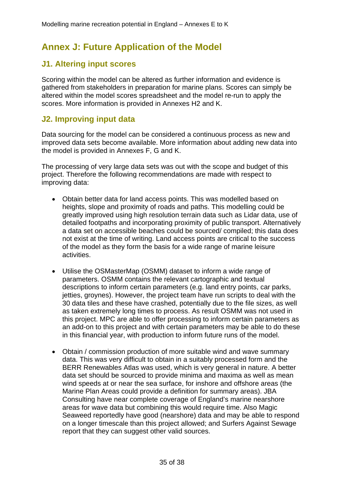# <span id="page-40-0"></span>**Annex J: Future Application of the Model**

# **J1. Altering input scores**

Scoring within the model can be altered as further information and evidence is gathered from stakeholders in preparation for marine plans. Scores can simply be altered within the model scores spreadsheet and the model re-run to apply the scores. More information is provided in Annexes H2 and K.

# **J2. Improving input data**

Data sourcing for the model can be considered a continuous process as new and improved data sets become available. More information about adding new data into the model is provided in Annexes F, G and K.

The processing of very large data sets was out with the scope and budget of this project. Therefore the following recommendations are made with respect to improving data:

- Obtain better data for land access points. This was modelled based on heights, slope and proximity of roads and paths. This modelling could be greatly improved using high resolution terrain data such as Lidar data, use of detailed footpaths and incorporating proximity of public transport. Alternatively a data set on accessible beaches could be sourced/ compiled; this data does not exist at the time of writing. Land access points are critical to the success of the model as they form the basis for a wide range of marine leisure activities.
- Utilise the OSMasterMap (OSMM) dataset to inform a wide range of parameters. OSMM contains the relevant cartographic and textual descriptions to inform certain parameters (e.g. land entry points, car parks, jetties, groynes). However, the project team have run scripts to deal with the 30 data tiles and these have crashed, potentially due to the file sizes, as well as taken extremely long times to process. As result OSMM was not used in this project. MPC are able to offer processing to inform certain parameters as an add-on to this project and with certain parameters may be able to do these in this financial year, with production to inform future runs of the model.
- Obtain / commission production of more suitable wind and wave summary data. This was very difficult to obtain in a suitably processed form and the BERR Renewables Atlas was used, which is very general in nature. A better data set should be sourced to provide minima and maxima as well as mean wind speeds at or near the sea surface, for inshore and offshore areas (the Marine Plan Areas could provide a definition for summary areas). JBA Consulting have near complete coverage of England's marine nearshore areas for wave data but combining this would require time. Also Magic Seaweed reportedly have good (nearshore) data and may be able to respond on a longer timescale than this project allowed; and Surfers Against Sewage report that they can suggest other valid sources.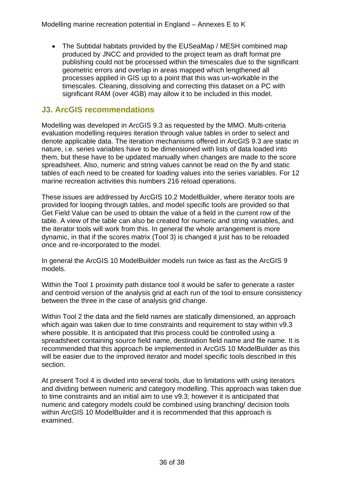<span id="page-41-0"></span>• The Subtidal habitats provided by the EUSeaMap / MESH combined map produced by JNCC and provided to the project team as draft format pre publishing could not be processed within the timescales due to the significant geometric errors and overlap in areas mapped which lengthened all processes applied in GIS up to a point that this was un-workable in the timescales. Cleaning, dissolving and correcting this dataset on a PC with significant RAM (over 4GB) may allow it to be included in this model.

# **J3. ArcGIS recommendations**

Modelling was developed in ArcGIS 9.3 as requested by the MMO. Multi-criteria evaluation modelling requires iteration through value tables in order to select and denote applicable data. The iteration mechanisms offered in ArcGIS 9.3 are static in nature, i.e. series variables have to be dimensioned with lists of data loaded into them, but these have to be updated manually when changes are made to the score spreadsheet. Also, numeric and string values cannot be read on the fly and static tables of each need to be created for loading values into the series variables. For 12 marine recreation activities this numbers 216 reload operations.

These issues are addressed by ArcGIS 10.2 ModelBuilder, where iterator tools are provided for looping through tables, and model specific tools are provided so that Get Field Value can be used to obtain the value of a field in the current row of the table. A view of the table can also be created for numeric and string variables, and the iterator tools will work from this. In general the whole arrangement is more dynamic, in that if the scores matrix (Tool 3) is changed it just has to be reloaded once and re-incorporated to the model.

In general the ArcGIS 10 ModelBuilder models run twice as fast as the ArcGIS 9 models.

Within the Tool 1 proximity path distance tool it would be safer to generate a raster and centroid version of the analysis grid at each run of the tool to ensure consistency between the three in the case of analysis grid change.

Within Tool 2 the data and the field names are statically dimensioned, an approach which again was taken due to time constraints and requirement to stay within v9.3 where possible. It is anticipated that this process could be controlled using a spreadsheet containing source field name, destination field name and file name. It is recommended that this approach be implemented in ArcGIS 10 ModelBuilder as this will be easier due to the improved iterator and model specific tools described in this section.

At present Tool 4 is divided into several tools, due to limitations with using iterators and dividing between numeric and category modelling. This approach was taken due to time constraints and an initial aim to use v9.3; however it is anticipated that numeric and category models could be combined using branching/ decision tools within ArcGIS 10 ModelBuilder and it is recommended that this approach is examined.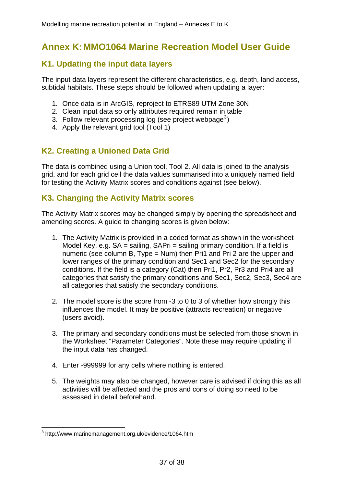# <span id="page-42-0"></span>**Annex K: MMO1064 Marine Recreation Model User Guide**

# **K1. Updating the input data layers**

The input data layers represent the different characteristics, e.g. depth, land access, subtidal habitats. These steps should be followed when updating a layer:

- 1. Once data is in ArcGIS, reproject to ETRS89 UTM Zone 30N
- 2. Clean input data so only attributes required remain in table
- [3](#page-42-1). Follow relevant processing log (see project webpage<sup>3</sup>)
- 4. Apply the relevant grid tool (Tool 1)

# **K2. Creating a Unioned Data Grid**

The data is combined using a Union tool, Tool 2. All data is joined to the analysis grid, and for each grid cell the data values summarised into a uniquely named field for testing the Activity Matrix scores and conditions against (see below).

# **K3. Changing the Activity Matrix scores**

The Activity Matrix scores may be changed simply by opening the spreadsheet and amending scores. A guide to changing scores is given below:

- 1. The Activity Matrix is provided in a coded format as shown in the worksheet Model Key, e.g. SA = sailing, SAPri = sailing primary condition. If a field is numeric (see column B, Type = Num) then Pri1 and Pri 2 are the upper and lower ranges of the primary condition and Sec1 and Sec2 for the secondary conditions. If the field is a category (Cat) then Pri1, Pr2, Pr3 and Pri4 are all categories that satisfy the primary conditions and Sec1, Sec2, Sec3, Sec4 are all categories that satisfy the secondary conditions.
- 2. The model score is the score from -3 to 0 to 3 of whether how strongly this influences the model. It may be positive (attracts recreation) or negative (users avoid).
- 3. The primary and secondary conditions must be selected from those shown in the Worksheet "Parameter Categories". Note these may require updating if the input data has changed.
- 4. Enter -999999 for any cells where nothing is entered.
- 5. The weights may also be changed, however care is advised if doing this as all activities will be affected and the pros and cons of doing so need to be assessed in detail beforehand.

<span id="page-42-1"></span><sup>&</sup>lt;u>.</u> 3 http://www.marinemanagement.org.uk/evidence/1064.htm